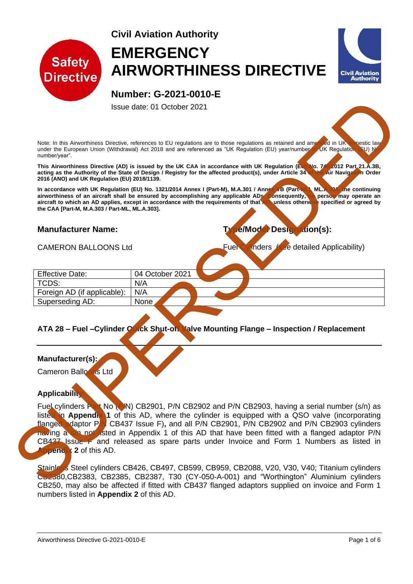



Issue date: 01 October 2021

Note: In this Airworthiness Directive, references to EU regulations are to those regulations as retained and amended in UK objective law<br>under the European Union (Withdrawal) Act 2018 and are referenced as "UK Regulation ( under the European Union (Withdrawal) Act 2018 and are referenced as "UK Regulation (EU) year/number or UK Regulation (EU) No. number/year".

**This Airworthiness Directive (AD) is issued by the UK CAA in accordance with UK Regulation (EU) No. 748/2012 Part 21.A.3B, acting as the Authority of the State of Design / Registry for the affected product(s), under Article 34 of the Air Navigation Order 2016 (ANO) and UK Regulation (EU) 2018/1139.**

**In accordance with UK Regulation (EU) No. 1321/2014 Annex I (Part-M), M.A.301 / Annex VB (Part-ML), ML.A.301, the continuing**  airworthiness of an aircraft shall be ensured by accomplishing any applicable ADs. Consequently, no person may operate an **aircraft to which an AD applies, except in accordance with the requirements of that AD, unless otherwise specified or agreed by the CAA [Part-M, M.A.303 / Part-ML, ML.A.303].**

# **Manufacturer Name: Type/Model Designation(s):**

CAMERON BALLOONS Ltd **Fuel Cylinders** (see detailed Applicability)

| <b>Effective Date:</b>      | 04 October 2021 |  |
|-----------------------------|-----------------|--|
| TCDS:                       | N/A             |  |
| Foreign AD (if applicable): | N/A             |  |
| Superseding AD:             | None            |  |

## **ATA 28 – Fuel –Cylinder Quick Shut-off Valve Mounting Flange – Inspection / Replacement**

#### **Manufacturer(s):**

Cameron Balloons Ltd

#### **Applicability:**

Fuel cylinders Part No (P/N) CB2901, P/N CB2902 and P/N CB2903, having a serial number (s/n) as listed in **Appendix 1** of this AD, where the cylinder is equipped with a QSO valve (incorporating flanged adaptor PN CB437 Issue F), and all P/N CB2901. P/N CB2902 and P/N CB2903 cvlinders **CB437 Issue F), and all P/N CB2901, P/N CB2902 and P/N CB2903 cylinders** having a s/n not listed in Appendix 1 of this AD that have been fitted with a flanged adaptor P/N CB437 Issue F and released as spare parts under Invoice and Form 1 Numbers as listed in **Apendix 2** of this AD. Superior Control (State of the Marine of the Marine of the Marine of the Marine of the Marine of the Marine of the Marine of the Marine of the Marine of the Marine of the Marine of the Marine of the Marine of the Marine of

Stainless Steel cylinders CB426, CB497, CB599, CB959, CB2088, V20, V30, V40; Titanium cylinders CB2380,CB2383, CB2385, CB2387, T30 (CY-050-A-001) and "Worthington" Aluminium cylinders CB250, may also be affected if fitted with CB437 flanged adaptors supplied on invoice and Form 1 numbers listed in **Appendix 2** of this AD.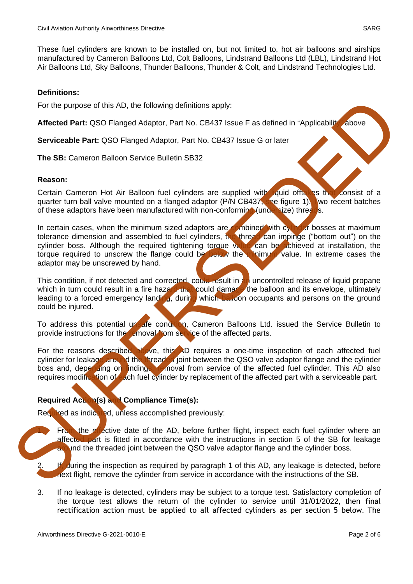These fuel cylinders are known to be installed on, but not limited to, hot air balloons and airships manufactured by Cameron Balloons Ltd, Colt Balloons, Lindstrand Balloons Ltd (LBL), Lindstrand Hot Air Balloons Ltd, Sky Balloons, Thunder Balloons, Thunder & Colt, and Lindstrand Technologies Ltd.

## **Definitions:**

For the purpose of this AD, the following definitions apply:

**Affected Part:** QSO Flanged Adaptor, Part No. CB437 Issue F as defined in "Applicability" above

**Serviceable Part:** QSO Flanged Adaptor, Part No. CB437 Issue G or later

**The SB:** Cameron Balloon Service Bulletin SB32

## **Reason:**

Certain Cameron Hot Air Balloon fuel cylinders are supplied with liquid offtakes that consist of a quarter turn ball valve mounted on a flanged adaptor (P/N CB437, see figure 1). Two recent batches of these adaptors have been manufactured with non-conforming (undersize) threads.

In certain cases, when the minimum sized adaptors are combined with cylinder bosses at maximum tolerance dimension and assembled to fuel cylinders, the thread can impinge ("bottom out") on the cylinder boss. Although the required tightening torque value can be achieved at installation, the torque required to unscrew the flange could be below the minimum value. In extreme cases the adaptor may be unscrewed by hand. For the purpose of this AD, the following definitions apply:<br>
Affected Part: GSO Flanged Adaptor, Part No. CB437 Issue F as defined in "Applicability"<br>
Serviceable Part: GSO Flanged Adaptor, Part No. CB437 Issue G or later

This condition, if not detected and corrected, could result in an uncontrolled release of liquid propane which in turn could result in a fire hazard that could damage the balloon and its envelope, ultimately leading to a forced emergency landing, during which balloon occupants and persons on the ground could be injured.

To address this potential unsafe condition, Cameron Balloons Ltd. issued the Service Bulletin to provide instructions for the removal from service of the affected parts.

For the reasons described above, this AD requires a one-time inspection of each affected fuel cylinder for leakage around the threaded joint between the QSO valve adaptor flange and the cylinder boss and, depending on findings, removal from service of the affected fuel cylinder. This AD also requires modification of each fuel cylinder by replacement of the affected part with a serviceable part.

# **Required Action(s) and Compliance Time(s):**

Required as indicated, unless accomplished previously:

- From the effective date of the AD, before further flight, inspect each fuel cylinder where an affected part is fitted in accordance with the instructions in section 5 of the SB for leakage and the threaded joint between the QSO valve adaptor flange and the cylinder boss.
- If, during the inspection as required by paragraph 1 of this AD, any leakage is detected, before next flight, remove the cylinder from service in accordance with the instructions of the SB.
- 3. If no leakage is detected, cylinders may be subject to a torque test. Satisfactory completion of the torque test allows the return of the cylinder to service until 31/01/2022, then final rectification action must be applied to all affected cylinders as per section 5 below. The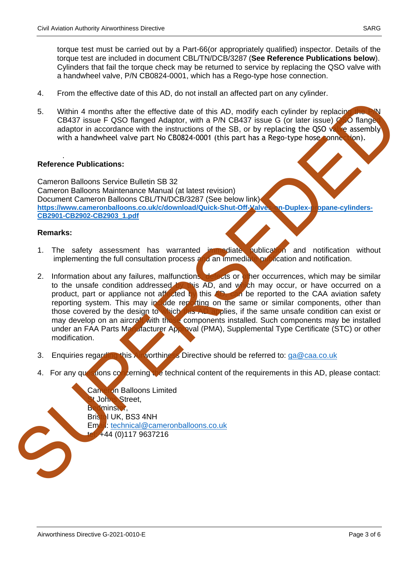torque test must be carried out by a Part-66(or appropriately qualified) inspector. Details of the torque test are included in document CBL/TN/DCB/3287 (**See Reference Publications below**). Cylinders that fail the torque check may be returned to service by replacing the QSO valve with a handwheel valve, P/N CB0824-0001, which has a Rego-type hose connection.

- 4. From the effective date of this AD, do not install an affected part on any cylinder.
- 5. Within 4 months after the effective date of this AD, modify each cylinder by replacing CB437 issue F QSO flanged Adaptor, with a P/N CB437 issue G (or later issue) CSO flange adaptor in accordance with the instructions of the SB, or by replacing the QSO valve assembly with a handwheel valve part No CB0824-0001 (this part has a Rego-type hose connection).

#### . **Reference Publications:**

Cameron Balloons Service Bulletin SB 32 Cameron Balloons Maintenance Manual (at latest revision) Document Cameron Balloons CBL/TN/DCB/3287 (See below link) https://www.cameronballoons.co.uk/c/download/Quick-Shut-Off-Valves-on-Duplex-propane-cylinders-**CB2901-CB2902-CB2903\_1.pdf**

#### **Remarks:**

- 1. The safety assessment has warranted immediate publication and notification without implementing the full consultation process and an immediate problication and notification.
- 2. Information about any failures, malfunctions, defects or other occurrences, which may be similar to the unsafe condition addressed by this AD, and which may occur, or have occurred on a product, part or appliance not affected by this AD, can be reported to the CAA aviation safety reporting system. This may include reporting on the same or similar components, other than those covered by the design to which this AD applies, if the same unsafe condition can exist or may develop on an aircraft with those components installed. Such components may be installed under an FAA Parts Manufacturer Approval (PMA), Supplemental Type Certificate (STC) or other modification. S[U](mailto:technical@cameronballoons.co.uk)PERINT months after the stetchto date of this AD, modify each cylinder by replacing CRIAT is a control data of the SAC of the Gatar is and CRIAT issue of or their states of the SAC of the SAC of the SAC of the SAC of the
	- 3. Enquiries regarding this Airworthiness Directive should be referred to: ga@caa.co.uk
	- 4. For any questions concerning the technical content of the requirements in this AD, please contact:

Cameron Balloons Limited t Johns Street. Bedminster, Bristol UK, BS3 4NH Email: technical@cameronballoons.co.uk  $+44 (0)117 9637216$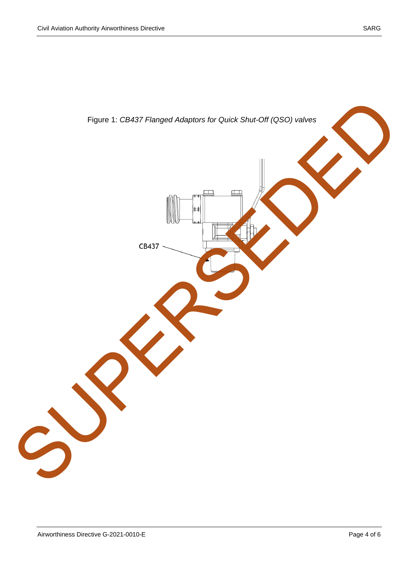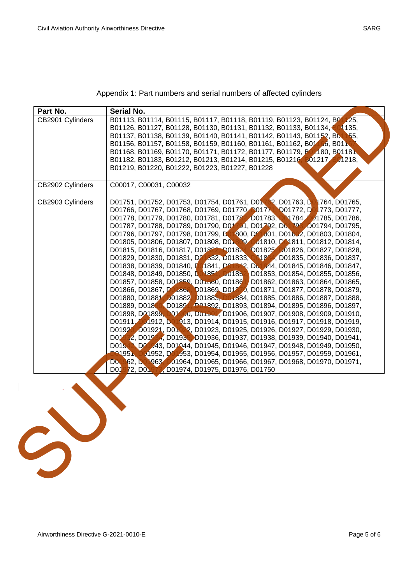| Part No.         | <b>Serial No.</b>                                                               |
|------------------|---------------------------------------------------------------------------------|
| CB2901 Cylinders | B01113, B01114, B01115, B01117, B01118, B01119, B01123, B01124, B01, 25,        |
|                  | B01126, B01127, B01128, B01130, B01131, B01132, B01133, B01134, L01135,         |
|                  | B01137, B01138, B01139, B01140, B01141, B01142, B01143, B01152, B0155,          |
|                  | B01156, B01157, B01158, B01159, B01160, B01161, B01162, B01156, B0116           |
|                  | B01168, B01169, B01170, B01171, B01172, B01177, B01179, B01180, B01181,         |
|                  | B01182, B01183, B01212, B01213, B01214, B01215, B01216, B01217, B01218,         |
|                  | B01219, B01220, B01222, B01223, B01227, B01228                                  |
|                  |                                                                                 |
| CB2902 Cylinders | C00017, C00031, C00032                                                          |
| CB2903 Cylinders | D01751, D01752, D01753, D01754, D01761, D01762, D01763, D01764, D01765,         |
|                  | D01766, D01767, D01768, D01769, D01770, D01771, D01772, D01773, D01777,         |
|                  | D01778, D01779, D01780, D01781, D01782, D01783, DM784, D01785, D01786,          |
|                  | D01787, D01788, D01789, D01790, D01791, D01792, D01793, D01794, D01795,         |
|                  | D01796, D01797, D01798, D01799, B01800, D01301, D01802, D01803, D01804,         |
|                  | D01805, D01806, D01807, D01808, D01809, D01810, D01811, D01812, D01814,         |
|                  | D01815, D01816, D01817, D01822, D01824, D01825, D01826, D01827, D01828,         |
|                  | D01829, D01830, D01831, DOL332, D01833, D1834, D01835, D01836, D01837,          |
|                  | D01838, D01839, D01840, D01841, D01842, D01844, D01845, D01846, D01847,         |
|                  | D01848, D01849, D01850, LO1851, D01852, D01853, D01854, D01855, D01856,         |
|                  | D01857, D01858, D01859, D01860, D01861, D01862, D01863, D01864, D01865,         |
|                  | D01866, D01867, PO1868, D01869, D01870, D01871, D01877, D01878, D01879,         |
|                  | D01880, D01881 D01882 D01885, D01884, D01885, D01886, D01887, D01888,           |
|                  | D01889, D0180 \D01891 D01892, D01893, D01894, D01895, D01896, D01897,           |
|                  | D01898, D01899, D01900, D01901, D01906, D01907, D01908, D01909, D01910,         |
|                  |                                                                                 |
|                  | D01911, D01912, D01913, D01914, D01915, D01916, D01917, D01918, D01919,         |
|                  | D01920 D01921, D01923, D01923, D01925, D01926, D01927, D01929, D01930,          |
|                  | D01 92, D019 4, D0193 D01936, D01937, D01938, D01939, D01940, D01941,           |
|                  | D01942 D01943, D01944, D01945, D01946, D01947, D01948, D01949, D01950,          |
|                  | <b>D01951</b><br>01952, DO 953, D01954, D01955, D01956, D01957, D01959, D01961, |
|                  | DO 962, LO 963, D01964, D01965, D01966, D01967, D01968, D01970, D01971,         |
|                  | D01972, D01973, D01974, D01975, D01976, D01750                                  |
|                  |                                                                                 |
|                  |                                                                                 |
|                  |                                                                                 |
|                  |                                                                                 |
|                  |                                                                                 |
|                  |                                                                                 |
|                  |                                                                                 |
|                  |                                                                                 |
|                  |                                                                                 |
|                  |                                                                                 |
|                  |                                                                                 |
|                  |                                                                                 |
|                  |                                                                                 |

Appendix 1: Part numbers and serial numbers of affected cylinders